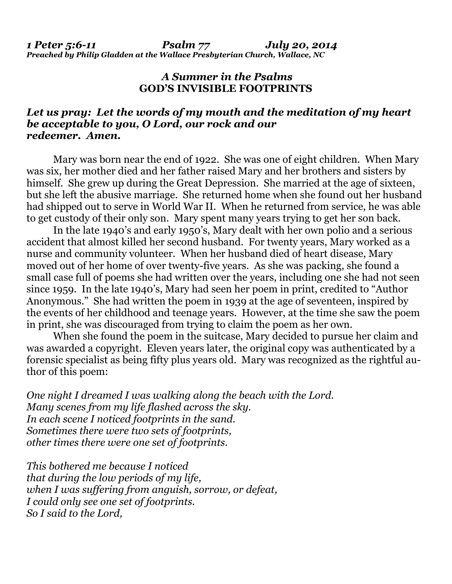## *A Summer in the Psalms*  **GOD'S INVISIBLE FOOTPRINTS**

## *Let us pray: Let the words of my mouth and the meditation of my heart be acceptable to you, O Lord, our rock and our redeemer. Amen.*

Mary was born near the end of 1922. She was one of eight children. When Mary was six, her mother died and her father raised Mary and her brothers and sisters by himself. She grew up during the Great Depression. She married at the age of sixteen, but she left the abusive marriage. She returned home when she found out her husband had shipped out to serve in World War II. When he returned from service, he was able to get custody of their only son. Mary spent many years trying to get her son back.

 In the late 1940's and early 1950's, Mary dealt with her own polio and a serious accident that almost killed her second husband. For twenty years, Mary worked as a nurse and community volunteer. When her husband died of heart disease, Mary moved out of her home of over twenty-five years. As she was packing, she found a small case full of poems she had written over the years, including one she had not seen since 1959. In the late 1940's, Mary had seen her poem in print, credited to "Author Anonymous." She had written the poem in 1939 at the age of seventeen, inspired by the events of her childhood and teenage years. However, at the time she saw the poem in print, she was discouraged from trying to claim the poem as her own.

 When she found the poem in the suitcase, Mary decided to pursue her claim and was awarded a copyright. Eleven years later, the original copy was authenticated by a forensic specialist as being fifty plus years old. Mary was recognized as the rightful author of this poem:

*One night I dreamed I was walking along the beach with the Lord. Many scenes from my life flashed across the sky. In each scene I noticed footprints in the sand. Sometimes there were two sets of footprints, other times there were one set of footprints.* 

*This bothered me because I noticed that during the low periods of my life, when I was suffering from anguish, sorrow, or defeat, I could only see one set of footprints. So I said to the Lord,*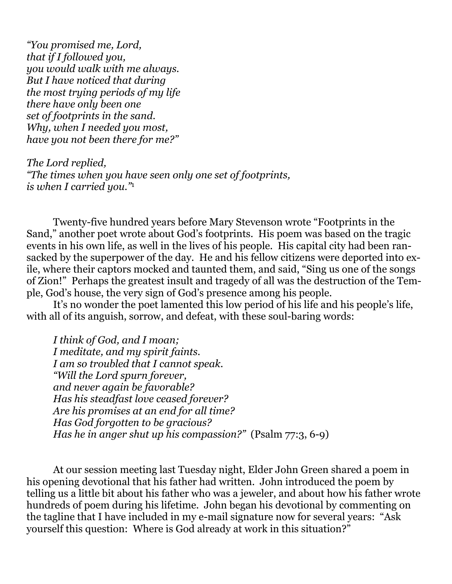*"You promised me, Lord, that if I followed you, you would walk with me always. But I have noticed that during the most trying periods of my life there have only been one set of footprints in the sand. Why, when I needed you most, have you not been there for me?"* 

*The Lord replied, "The times when you have seen only one set of footprints, is when I carried you."*<sup>1</sup>

 Twenty-five hundred years before Mary Stevenson wrote "Footprints in the Sand," another poet wrote about God's footprints. His poem was based on the tragic events in his own life, as well in the lives of his people. His capital city had been ransacked by the superpower of the day. He and his fellow citizens were deported into exile, where their captors mocked and taunted them, and said, "Sing us one of the songs of Zion!" Perhaps the greatest insult and tragedy of all was the destruction of the Temple, God's house, the very sign of God's presence among his people.

 It's no wonder the poet lamented this low period of his life and his people's life, with all of its anguish, sorrow, and defeat, with these soul-baring words:

*I think of God, and I moan; I meditate, and my spirit faints. I am so troubled that I cannot speak. "Will the Lord spurn forever, and never again be favorable? Has his steadfast love ceased forever? Are his promises at an end for all time? Has God forgotten to be gracious? Has he in anger shut up his compassion?"* (Psalm 77:3, 6-9)

 At our session meeting last Tuesday night, Elder John Green shared a poem in his opening devotional that his father had written. John introduced the poem by telling us a little bit about his father who was a jeweler, and about how his father wrote hundreds of poem during his lifetime. John began his devotional by commenting on the tagline that I have included in my e-mail signature now for several years: "Ask yourself this question: Where is God already at work in this situation?"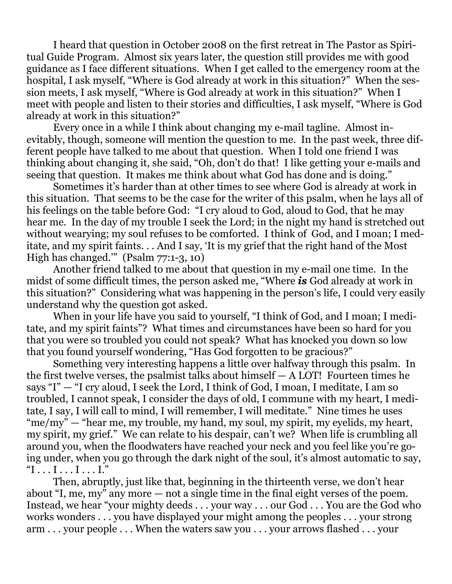I heard that question in October 2008 on the first retreat in The Pastor as Spiritual Guide Program. Almost six years later, the question still provides me with good guidance as I face different situations. When I get called to the emergency room at the hospital, I ask myself, "Where is God already at work in this situation?" When the session meets, I ask myself, "Where is God already at work in this situation?" When I meet with people and listen to their stories and difficulties, I ask myself, "Where is God already at work in this situation?"

 Every once in a while I think about changing my e-mail tagline. Almost inevitably, though, someone will mention the question to me. In the past week, three different people have talked to me about that question. When I told one friend I was thinking about changing it, she said, "Oh, don't do that! I like getting your e-mails and seeing that question. It makes me think about what God has done and is doing."

 Sometimes it's harder than at other times to see where God is already at work in this situation. That seems to be the case for the writer of this psalm, when he lays all of his feelings on the table before God: "I cry aloud to God, aloud to God, that he may hear me. In the day of my trouble I seek the Lord; in the night my hand is stretched out without wearying; my soul refuses to be comforted. I think of God, and I moan; I meditate, and my spirit faints. . . And I say, 'It is my grief that the right hand of the Most High has changed.'" (Psalm 77:1-3, 10)

 Another friend talked to me about that question in my e-mail one time. In the midst of some difficult times, the person asked me, "Where *is* God already at work in this situation?" Considering what was happening in the person's life, I could very easily understand why the question got asked.

 When in your life have you said to yourself, "I think of God, and I moan; I meditate, and my spirit faints"? What times and circumstances have been so hard for you that you were so troubled you could not speak? What has knocked you down so low that you found yourself wondering, "Has God forgotten to be gracious?"

 Something very interesting happens a little over halfway through this psalm. In the first twelve verses, the psalmist talks about himself — A LOT! Fourteen times he says "I" — "I cry aloud, I seek the Lord, I think of God, I moan, I meditate, I am so troubled, I cannot speak, I consider the days of old, I commune with my heart, I meditate, I say, I will call to mind, I will remember, I will meditate." Nine times he uses "me/my" — "hear me, my trouble, my hand, my soul, my spirit, my eyelids, my heart, my spirit, my grief." We can relate to his despair, can't we? When life is crumbling all around you, when the floodwaters have reached your neck and you feel like you're going under, when you go through the dark night of the soul, it's almost automatic to say,  $T_1 \ldots I \ldots I \ldots I$ ...

 Then, abruptly, just like that, beginning in the thirteenth verse, we don't hear about "I, me, my" any more — not a single time in the final eight verses of the poem. Instead, we hear "your mighty deeds . . . your way . . . our God . . . You are the God who works wonders . . . you have displayed your might among the peoples . . . your strong arm . . . your people . . . When the waters saw you . . . your arrows flashed . . . your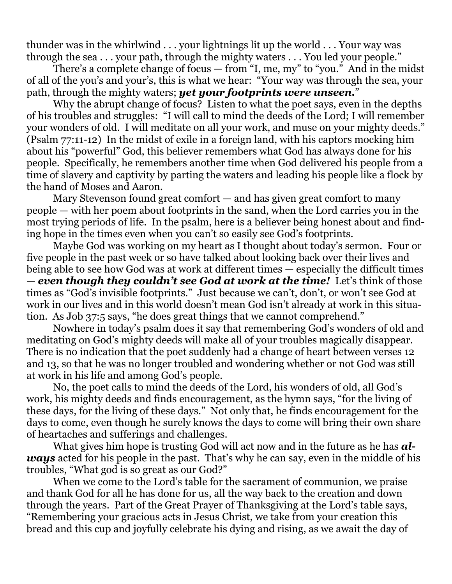thunder was in the whirlwind . . . your lightnings lit up the world . . . Your way was through the sea . . . your path, through the mighty waters . . . You led your people."

 There's a complete change of focus — from "I, me, my" to "you." And in the midst of all of the you's and your's, this is what we hear: "Your way was through the sea, your path, through the mighty waters; *yet your footprints were unseen.*"

 Why the abrupt change of focus? Listen to what the poet says, even in the depths of his troubles and struggles: "I will call to mind the deeds of the Lord; I will remember your wonders of old. I will meditate on all your work, and muse on your mighty deeds." (Psalm 77:11-12) In the midst of exile in a foreign land, with his captors mocking him about his "powerful" God, this believer remembers what God has always done for his people. Specifically, he remembers another time when God delivered his people from a time of slavery and captivity by parting the waters and leading his people like a flock by the hand of Moses and Aaron.

 Mary Stevenson found great comfort — and has given great comfort to many people — with her poem about footprints in the sand, when the Lord carries you in the most trying periods of life. In the psalm, here is a believer being honest about and finding hope in the times even when you can't so easily see God's footprints.

 Maybe God was working on my heart as I thought about today's sermon. Four or five people in the past week or so have talked about looking back over their lives and being able to see how God was at work at different times — especially the difficult times — *even though they couldn't see God at work at the time!* Let's think of those times as "God's invisible footprints." Just because we can't, don't, or won't see God at work in our lives and in this world doesn't mean God isn't already at work in this situation. As Job 37:5 says, "he does great things that we cannot comprehend."

 Nowhere in today's psalm does it say that remembering God's wonders of old and meditating on God's mighty deeds will make all of your troubles magically disappear. There is no indication that the poet suddenly had a change of heart between verses 12 and 13, so that he was no longer troubled and wondering whether or not God was still at work in his life and among God's people.

 No, the poet calls to mind the deeds of the Lord, his wonders of old, all God's work, his mighty deeds and finds encouragement, as the hymn says, "for the living of these days, for the living of these days." Not only that, he finds encouragement for the days to come, even though he surely knows the days to come will bring their own share of heartaches and sufferings and challenges.

 What gives him hope is trusting God will act now and in the future as he has *always* acted for his people in the past. That's why he can say, even in the middle of his troubles, "What god is so great as our God?"

 When we come to the Lord's table for the sacrament of communion, we praise and thank God for all he has done for us, all the way back to the creation and down through the years. Part of the Great Prayer of Thanksgiving at the Lord's table says, "Remembering your gracious acts in Jesus Christ, we take from your creation this bread and this cup and joyfully celebrate his dying and rising, as we await the day of